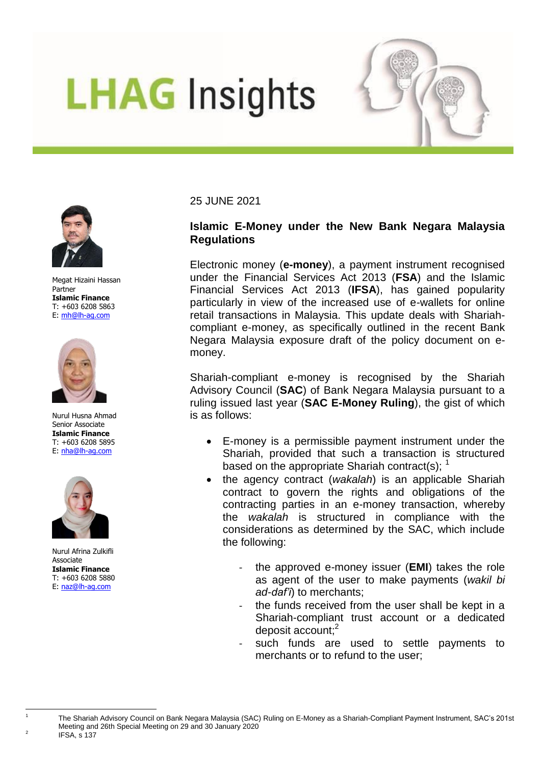# **LHAG Insights**



Megat Hizaini Hassan Partner **Islamic Finance** T: +603 6208 5863 E: [mh@lh-ag.com](mailto:mh@lh-ag.com)



Nurul Husna Ahmad Senior Associate **Islamic Finance** T: +603 6208 5895 E: [nha@lh-ag.com](mailto:nha@lh-ag.com)



Nurul Afrina Zulkifli Associate **Islamic Finance** T: +603 6208 5880 E: [naz@lh-ag.com](mailto:naz@lh-ag.com)

25 JUNE 2021

## **Islamic E-Money under the New Bank Negara Malaysia Regulations**

Electronic money (**e-money**), a payment instrument recognised under the Financial Services Act 2013 (**FSA**) and the Islamic Financial Services Act 2013 (**IFSA**), has gained popularity particularly in view of the increased use of e-wallets for online retail transactions in Malaysia. This update deals with Shariahcompliant e-money, as specifically outlined in the recent Bank Negara Malaysia exposure draft of the policy document on emoney.

Shariah-compliant e-money is recognised by the Shariah Advisory Council (**SAC**) of Bank Negara Malaysia pursuant to a ruling issued last year (**SAC E-Money Ruling**), the gist of which is as follows:

- E-money is a permissible payment instrument under the Shariah, provided that such a transaction is structured based on the appropriate Shariah contract(s);  $\frac{1}{2}$
- the agency contract (*wakalah*) is an applicable Shariah contract to govern the rights and obligations of the contracting parties in an e-money transaction, whereby the *wakalah* is structured in compliance with the considerations as determined by the SAC, which include the following:
	- the approved e-money issuer (**EMI**) takes the role as agent of the user to make payments (*wakil bi ad-daf'i*) to merchants;
	- the funds received from the user shall be kept in a Shariah-compliant trust account or a dedicated deposit account:<sup>2</sup>
	- such funds are used to settle payments to merchants or to refund to the user;

 $\overline{a}$ 1

2

The Shariah Advisory Council on Bank Negara Malaysia (SAC) Ruling on E-Money as a Shariah-Compliant Payment Instrument, SAC's 201st Meeting and 26th Special Meeting on 29 and 30 January 2020 IFSA, s 137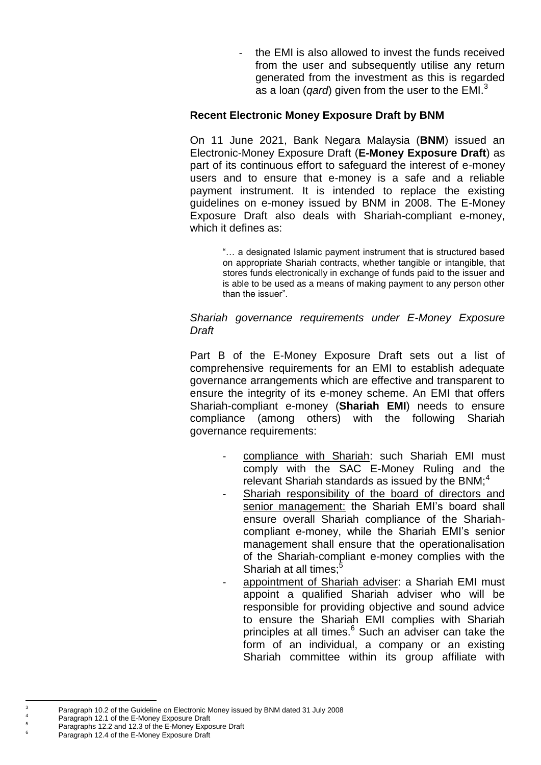the EMI is also allowed to invest the funds received from the user and subsequently utilise any return generated from the investment as this is regarded as a loan (*gard*) given from the user to the EMI.<sup>3</sup>

## **Recent Electronic Money Exposure Draft by BNM**

On 11 June 2021, Bank Negara Malaysia (**BNM**) issued an Electronic-Money Exposure Draft (**E-Money Exposure Draft**) as part of its continuous effort to safeguard the interest of e-money users and to ensure that e-money is a safe and a reliable payment instrument. It is intended to replace the existing guidelines on e-money issued by BNM in 2008. The E-Money Exposure Draft also deals with Shariah-compliant e-money, which it defines as:

> "… a designated Islamic payment instrument that is structured based on appropriate Shariah contracts, whether tangible or intangible, that stores funds electronically in exchange of funds paid to the issuer and is able to be used as a means of making payment to any person other than the issuer".

### *Shariah governance requirements under E-Money Exposure Draft*

Part B of the E-Money Exposure Draft sets out a list of comprehensive requirements for an EMI to establish adequate governance arrangements which are effective and transparent to ensure the integrity of its e-money scheme. An EMI that offers Shariah-compliant e-money (**Shariah EMI**) needs to ensure compliance (among others) with the following Shariah governance requirements:

- compliance with Shariah: such Shariah EMI must comply with the SAC E-Money Ruling and the relevant Shariah standards as issued by the BNM; $<sup>4</sup>$ </sup>
- Shariah responsibility of the board of directors and senior management: the Shariah EMI's board shall ensure overall Shariah compliance of the Shariahcompliant e-money, while the Shariah EMI's senior management shall ensure that the operationalisation of the Shariah-compliant e-money complies with the Shariah at all times:<sup>5</sup>
- appointment of Shariah adviser: a Shariah EMI must appoint a qualified Shariah adviser who will be responsible for providing objective and sound advice to ensure the Shariah EMI complies with Shariah principles at all times.<sup>6</sup> Such an adviser can take the form of an individual, a company or an existing Shariah committee within its group affiliate with

 $\overline{a}$ 

 $\frac{3}{4}$  Paragraph 10.2 of the Guideline on Electronic Money issued by BNM dated 31 July 2008

 $^{4}$  Paragraph 12.1 of the E-Money Exposure Draft

 $5$  Paragraphs 12.2 and 12.3 of the E-Money Exposure Draft

<sup>6</sup> Paragraph 12.4 of the E-Money Exposure Draft